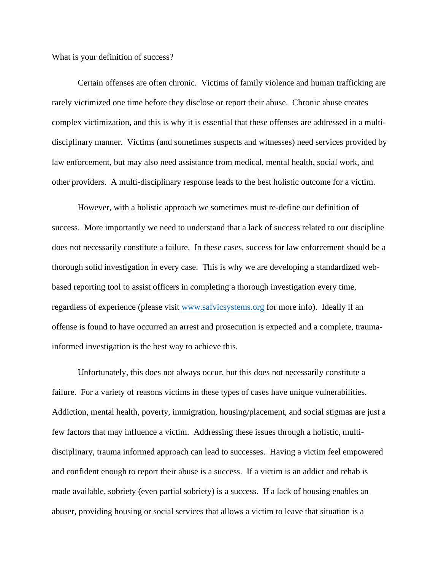What is your definition of success?

Certain offenses are often chronic. Victims of family violence and human trafficking are rarely victimized one time before they disclose or report their abuse. Chronic abuse creates complex victimization, and this is why it is essential that these offenses are addressed in a multidisciplinary manner. Victims (and sometimes suspects and witnesses) need services provided by law enforcement, but may also need assistance from medical, mental health, social work, and other providers. A multi-disciplinary response leads to the best holistic outcome for a victim.

However, with a holistic approach we sometimes must re-define our definition of success. More importantly we need to understand that a lack of success related to our discipline does not necessarily constitute a failure. In these cases, success for law enforcement should be a thorough solid investigation in every case. This is why we are developing a standardized webbased reporting tool to assist officers in completing a thorough investigation every time, regardless of experience (please visit [www.safvicsystems.org](http://www.safvicsystems.org/) for more info). Ideally if an offense is found to have occurred an arrest and prosecution is expected and a complete, traumainformed investigation is the best way to achieve this.

Unfortunately, this does not always occur, but this does not necessarily constitute a failure. For a variety of reasons victims in these types of cases have unique vulnerabilities. Addiction, mental health, poverty, immigration, housing/placement, and social stigmas are just a few factors that may influence a victim. Addressing these issues through a holistic, multidisciplinary, trauma informed approach can lead to successes. Having a victim feel empowered and confident enough to report their abuse is a success. If a victim is an addict and rehab is made available, sobriety (even partial sobriety) is a success. If a lack of housing enables an abuser, providing housing or social services that allows a victim to leave that situation is a